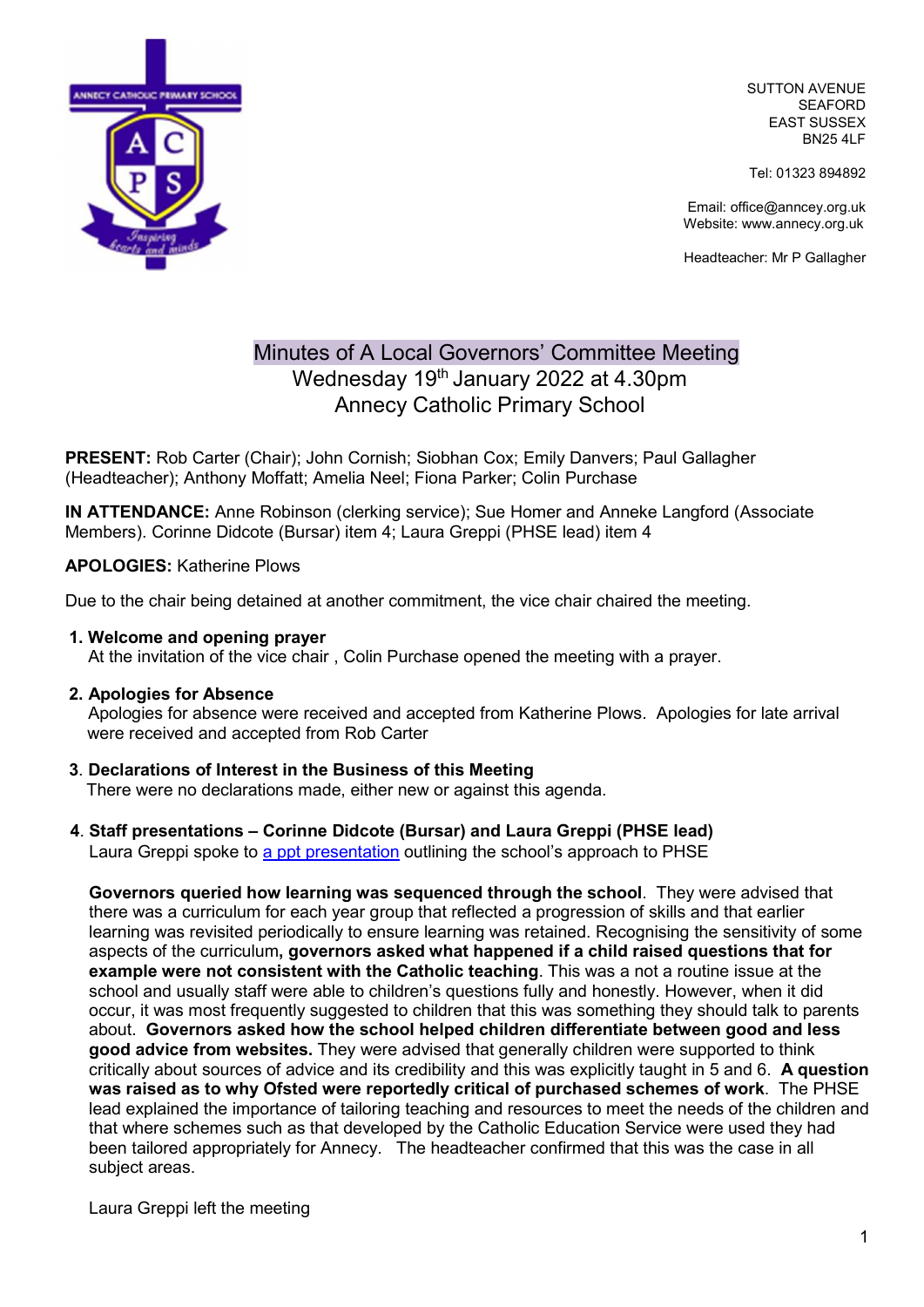

SUTTON AVENUE SEAFORD EAST SUSSEX BN25 4LF

Tel: 01323 894892

Email: office@anncey.org.uk Website: www.annecy.org.uk

Headteacher: Mr P Gallagher

# Minutes of A Local Governors' Committee Meeting Wednesday 19<sup>th</sup> January 2022 at 4.30pm Annecy Catholic Primary School

PRESENT: Rob Carter (Chair); John Cornish; Siobhan Cox; Emily Danvers; Paul Gallagher (Headteacher); Anthony Moffatt; Amelia Neel; Fiona Parker; Colin Purchase

IN ATTENDANCE: Anne Robinson (clerking service); Sue Homer and Anneke Langford (Associate Members). Corinne Didcote (Bursar) item 4; Laura Greppi (PHSE lead) item 4

APOLOGIES: Katherine Plows

Due to the chair being detained at another commitment, the vice chair chaired the meeting.

#### 1. Welcome and opening prayer

At the invitation of the vice chair , Colin Purchase opened the meeting with a prayer.

#### 2. Apologies for Absence

 Apologies for absence were received and accepted from Katherine Plows. Apologies for late arrival were received and accepted from Rob Carter

## 3. Declarations of Interest in the Business of this Meeting

There were no declarations made, either new or against this agenda.

## 4. Staff presentations – Corinne Didcote (Bursar) and Laura Greppi (PHSE lead)

Laura Greppi spoke to a ppt presentation outlining the school's approach to PHSE

Governors queried how learning was sequenced through the school. They were advised that there was a curriculum for each year group that reflected a progression of skills and that earlier learning was revisited periodically to ensure learning was retained. Recognising the sensitivity of some aspects of the curriculum, governors asked what happened if a child raised questions that for example were not consistent with the Catholic teaching. This was a not a routine issue at the school and usually staff were able to children's questions fully and honestly. However, when it did occur, it was most frequently suggested to children that this was something they should talk to parents about. Governors asked how the school helped children differentiate between good and less good advice from websites. They were advised that generally children were supported to think critically about sources of advice and its credibility and this was explicitly taught in 5 and 6. A question was raised as to why Ofsted were reportedly critical of purchased schemes of work. The PHSE lead explained the importance of tailoring teaching and resources to meet the needs of the children and that where schemes such as that developed by the Catholic Education Service were used they had been tailored appropriately for Annecy. The headteacher confirmed that this was the case in all subject areas.

Laura Greppi left the meeting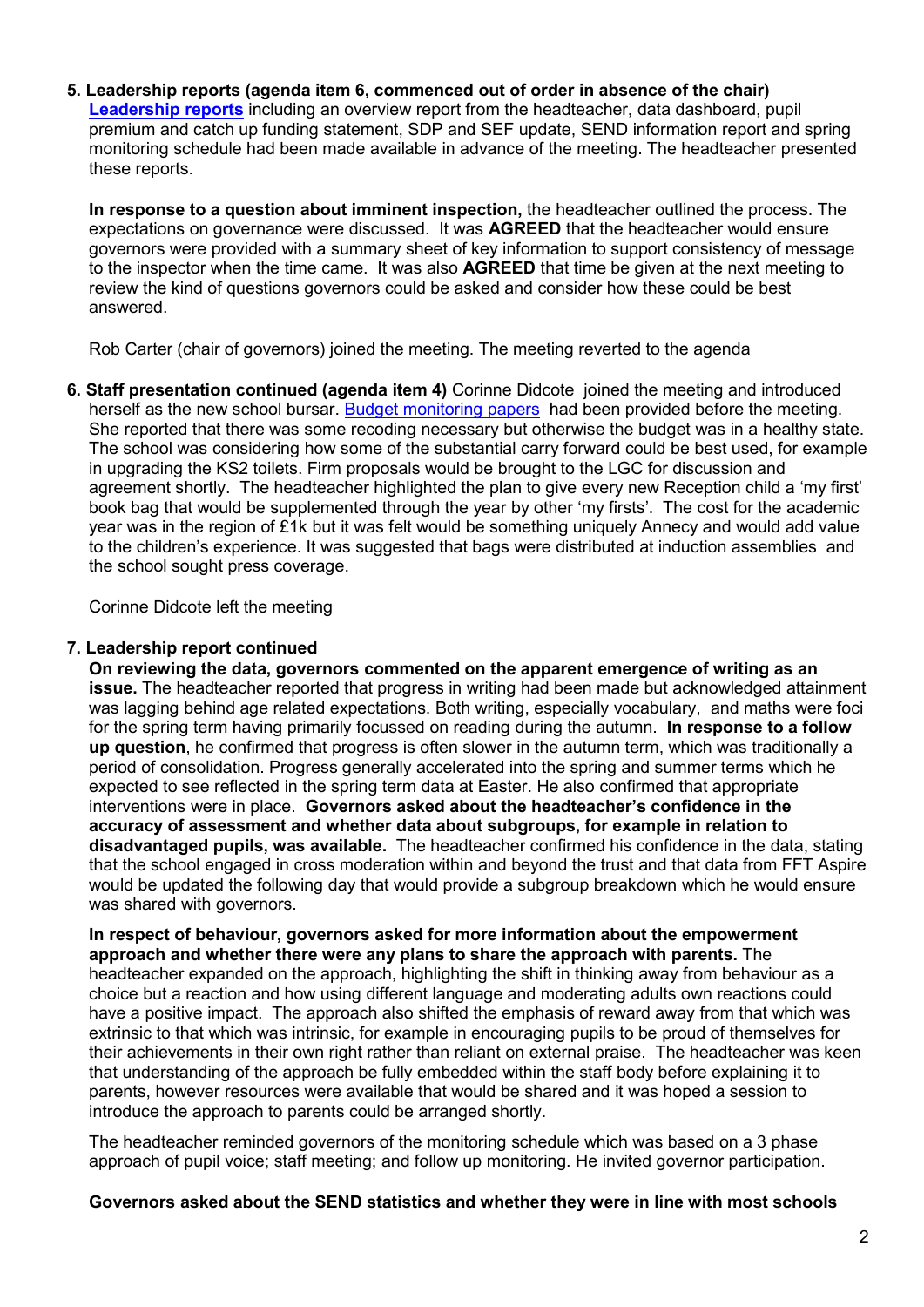5. Leadership reports (agenda item 6, commenced out of order in absence of the chair) **Leadership reports** including an overview report from the headteacher, data dashboard, pupil premium and catch up funding statement, SDP and SEF update, SEND information report and spring monitoring schedule had been made available in advance of the meeting. The headteacher presented these reports.

In response to a question about imminent inspection, the headteacher outlined the process. The expectations on governance were discussed. It was **AGREED** that the headteacher would ensure governors were provided with a summary sheet of key information to support consistency of message to the inspector when the time came. It was also AGREED that time be given at the next meeting to review the kind of questions governors could be asked and consider how these could be best answered.

Rob Carter (chair of governors) joined the meeting. The meeting reverted to the agenda

6. Staff presentation continued (agenda item 4) Corinne Didcote joined the meeting and introduced herself as the new school bursar. Budget monitoring papers had been provided before the meeting. She reported that there was some recoding necessary but otherwise the budget was in a healthy state. The school was considering how some of the substantial carry forward could be best used, for example in upgrading the KS2 toilets. Firm proposals would be brought to the LGC for discussion and agreement shortly. The headteacher highlighted the plan to give every new Reception child a 'my first' book bag that would be supplemented through the year by other 'my firsts'. The cost for the academic year was in the region of £1k but it was felt would be something uniquely Annecy and would add value to the children's experience. It was suggested that bags were distributed at induction assemblies and the school sought press coverage.

Corinne Didcote left the meeting

## 7. Leadership report continued

On reviewing the data, governors commented on the apparent emergence of writing as an issue. The headteacher reported that progress in writing had been made but acknowledged attainment was lagging behind age related expectations. Both writing, especially vocabulary, and maths were foci for the spring term having primarily focussed on reading during the autumn. **In response to a follow** up question, he confirmed that progress is often slower in the autumn term, which was traditionally a period of consolidation. Progress generally accelerated into the spring and summer terms which he expected to see reflected in the spring term data at Easter. He also confirmed that appropriate interventions were in place. Governors asked about the headteacher's confidence in the accuracy of assessment and whether data about subgroups, for example in relation to disadvantaged pupils, was available. The headteacher confirmed his confidence in the data, stating that the school engaged in cross moderation within and beyond the trust and that data from FFT Aspire would be updated the following day that would provide a subgroup breakdown which he would ensure was shared with governors.

In respect of behaviour, governors asked for more information about the empowerment approach and whether there were any plans to share the approach with parents. The headteacher expanded on the approach, highlighting the shift in thinking away from behaviour as a choice but a reaction and how using different language and moderating adults own reactions could have a positive impact. The approach also shifted the emphasis of reward away from that which was extrinsic to that which was intrinsic, for example in encouraging pupils to be proud of themselves for their achievements in their own right rather than reliant on external praise. The headteacher was keen that understanding of the approach be fully embedded within the staff body before explaining it to parents, however resources were available that would be shared and it was hoped a session to introduce the approach to parents could be arranged shortly.

The headteacher reminded governors of the monitoring schedule which was based on a 3 phase approach of pupil voice; staff meeting; and follow up monitoring. He invited governor participation.

#### Governors asked about the SEND statistics and whether they were in line with most schools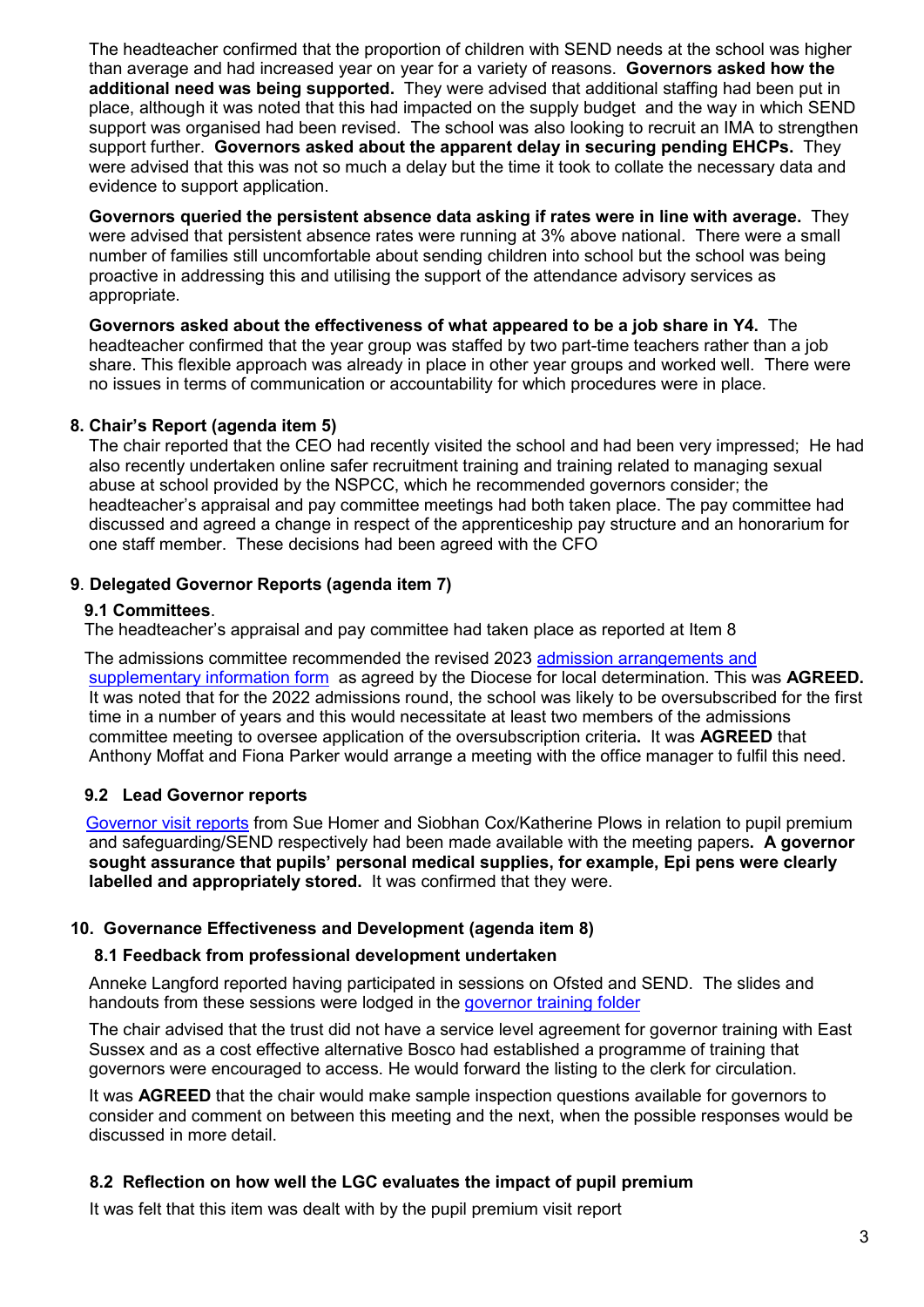The headteacher confirmed that the proportion of children with SEND needs at the school was higher than average and had increased year on year for a variety of reasons. Governors asked how the additional need was being supported. They were advised that additional staffing had been put in place, although it was noted that this had impacted on the supply budget and the way in which SEND support was organised had been revised. The school was also looking to recruit an IMA to strengthen support further. Governors asked about the apparent delay in securing pending EHCPs. They were advised that this was not so much a delay but the time it took to collate the necessary data and evidence to support application.

Governors queried the persistent absence data asking if rates were in line with average. They were advised that persistent absence rates were running at 3% above national. There were a small number of families still uncomfortable about sending children into school but the school was being proactive in addressing this and utilising the support of the attendance advisory services as appropriate.

Governors asked about the effectiveness of what appeared to be a job share in Y4. The headteacher confirmed that the year group was staffed by two part-time teachers rather than a job share. This flexible approach was already in place in other year groups and worked well. There were no issues in terms of communication or accountability for which procedures were in place.

# 8. Chair's Report (agenda item 5)

 The chair reported that the CEO had recently visited the school and had been very impressed; He had also recently undertaken online safer recruitment training and training related to managing sexual abuse at school provided by the NSPCC, which he recommended governors consider; the headteacher's appraisal and pay committee meetings had both taken place. The pay committee had discussed and agreed a change in respect of the apprenticeship pay structure and an honorarium for one staff member. These decisions had been agreed with the CFO

# 9. Delegated Governor Reports (agenda item 7)

# 9.1 Committees.

The headteacher's appraisal and pay committee had taken place as reported at Item 8

 The admissions committee recommended the revised 2023 admission arrangements and supplementary information form as agreed by the Diocese for local determination. This was AGREED. It was noted that for the 2022 admissions round, the school was likely to be oversubscribed for the first time in a number of years and this would necessitate at least two members of the admissions committee meeting to oversee application of the oversubscription criteria. It was AGREED that Anthony Moffat and Fiona Parker would arrange a meeting with the office manager to fulfil this need.

# 9.2 Lead Governor reports

 Governor visit reports from Sue Homer and Siobhan Cox/Katherine Plows in relation to pupil premium and safeguarding/SEND respectively had been made available with the meeting papers. A governor sought assurance that pupils' personal medical supplies, for example, Epi pens were clearly labelled and appropriately stored. It was confirmed that they were.

## 10. Governance Effectiveness and Development (agenda item 8)

# 8.1 Feedback from professional development undertaken

Anneke Langford reported having participated in sessions on Ofsted and SEND. The slides and handouts from these sessions were lodged in the governor training folder

The chair advised that the trust did not have a service level agreement for governor training with East Sussex and as a cost effective alternative Bosco had established a programme of training that governors were encouraged to access. He would forward the listing to the clerk for circulation.

It was AGREED that the chair would make sample inspection questions available for governors to consider and comment on between this meeting and the next, when the possible responses would be discussed in more detail.

# 8.2 Reflection on how well the LGC evaluates the impact of pupil premium

It was felt that this item was dealt with by the pupil premium visit report